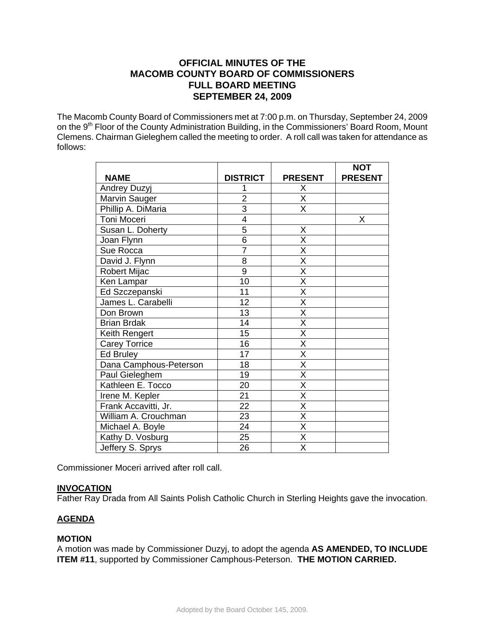# **OFFICIAL MINUTES OF THE MACOMB COUNTY BOARD OF COMMISSIONERS FULL BOARD MEETING SEPTEMBER 24, 2009**

The Macomb County Board of Commissioners met at 7:00 p.m. on Thursday, September 24, 2009 on the 9<sup>th</sup> Floor of the County Administration Building, in the Commissioners' Board Room, Mount Clemens. Chairman Gieleghem called the meeting to order. A roll call was taken for attendance as follows:

|                        |                 |                         | <b>NOT</b>     |
|------------------------|-----------------|-------------------------|----------------|
| <b>NAME</b>            | <b>DISTRICT</b> | <b>PRESENT</b>          | <b>PRESENT</b> |
| <b>Andrey Duzyj</b>    |                 | X                       |                |
| Marvin Sauger          | $\overline{2}$  | $\overline{\mathsf{x}}$ |                |
| Phillip A. DiMaria     | $\overline{3}$  | $\overline{\mathsf{X}}$ |                |
| Toni Moceri            | 4               |                         | X              |
| Susan L. Doherty       | 5               | X                       |                |
| Joan Flynn             | $\overline{6}$  | $\overline{\mathsf{x}}$ |                |
| Sue Rocca              | $\overline{7}$  | $\overline{\mathsf{x}}$ |                |
| David J. Flynn         | 8               | $\overline{\mathsf{x}}$ |                |
| Robert Mijac           | $\overline{9}$  | $\overline{\mathsf{x}}$ |                |
| Ken Lampar             | 10              | $\overline{\mathsf{x}}$ |                |
| Ed Szczepanski         | 11              | X                       |                |
| James L. Carabelli     | 12              | $\overline{\mathsf{x}}$ |                |
| Don Brown              | 13              | $\overline{\mathsf{x}}$ |                |
| <b>Brian Brdak</b>     | 14              | X                       |                |
| Keith Rengert          | 15              | $\overline{\mathsf{x}}$ |                |
| <b>Carey Torrice</b>   | 16              | $\overline{\mathsf{x}}$ |                |
| Ed Bruley              | 17              | $\overline{\mathsf{x}}$ |                |
| Dana Camphous-Peterson | 18              | $\overline{\mathsf{x}}$ |                |
| Paul Gieleghem         | 19              | $\overline{\mathsf{x}}$ |                |
| Kathleen E. Tocco      | 20              | X                       |                |
| Irene M. Kepler        | 21              | $\overline{\mathsf{X}}$ |                |
| Frank Accavitti, Jr.   | $\overline{22}$ | $\overline{\mathsf{x}}$ |                |
| William A. Crouchman   | 23              | $\overline{\mathsf{x}}$ |                |
| Michael A. Boyle       | 24              | X                       |                |
| Kathy D. Vosburg       | 25              | $\overline{\mathsf{x}}$ |                |
| Jeffery S. Sprys       | 26              | $\overline{\mathsf{X}}$ |                |

Commissioner Moceri arrived after roll call.

## **INVOCATION**

Father Ray Drada from All Saints Polish Catholic Church in Sterling Heights gave the invocation.

## **AGENDA**

### **MOTION**

A motion was made by Commissioner Duzyj, to adopt the agenda **AS AMENDED, TO INCLUDE ITEM #11**, supported by Commissioner Camphous-Peterson. **THE MOTION CARRIED.**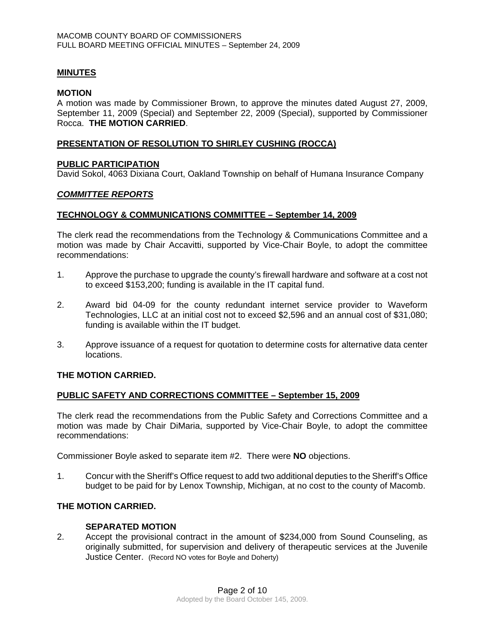## **MINUTES**

#### **MOTION**

A motion was made by Commissioner Brown, to approve the minutes dated August 27, 2009, September 11, 2009 (Special) and September 22, 2009 (Special), supported by Commissioner Rocca. **THE MOTION CARRIED**.

### **PRESENTATION OF RESOLUTION TO SHIRLEY CUSHING (ROCCA)**

### **PUBLIC PARTICIPATION**

David Sokol, 4063 Dixiana Court, Oakland Township on behalf of Humana Insurance Company

### *COMMITTEE REPORTS*

### **TECHNOLOGY & COMMUNICATIONS COMMITTEE – September 14, 2009**

The clerk read the recommendations from the Technology & Communications Committee and a motion was made by Chair Accavitti, supported by Vice-Chair Boyle, to adopt the committee recommendations:

- 1. Approve the purchase to upgrade the county's firewall hardware and software at a cost not to exceed \$153,200; funding is available in the IT capital fund.
- 2. Award bid 04-09 for the county redundant internet service provider to Waveform Technologies, LLC at an initial cost not to exceed \$2,596 and an annual cost of \$31,080; funding is available within the IT budget.
- 3. Approve issuance of a request for quotation to determine costs for alternative data center locations.

### **THE MOTION CARRIED.**

### **PUBLIC SAFETY AND CORRECTIONS COMMITTEE – September 15, 2009**

The clerk read the recommendations from the Public Safety and Corrections Committee and a motion was made by Chair DiMaria, supported by Vice-Chair Boyle, to adopt the committee recommendations:

Commissioner Boyle asked to separate item #2. There were **NO** objections.

1. Concur with the Sheriff's Office request to add two additional deputies to the Sheriff's Office budget to be paid for by Lenox Township, Michigan, at no cost to the county of Macomb.

## **THE MOTION CARRIED.**

### **SEPARATED MOTION**

2. Accept the provisional contract in the amount of \$234,000 from Sound Counseling, as originally submitted, for supervision and delivery of therapeutic services at the Juvenile Justice Center. (Record NO votes for Boyle and Doherty)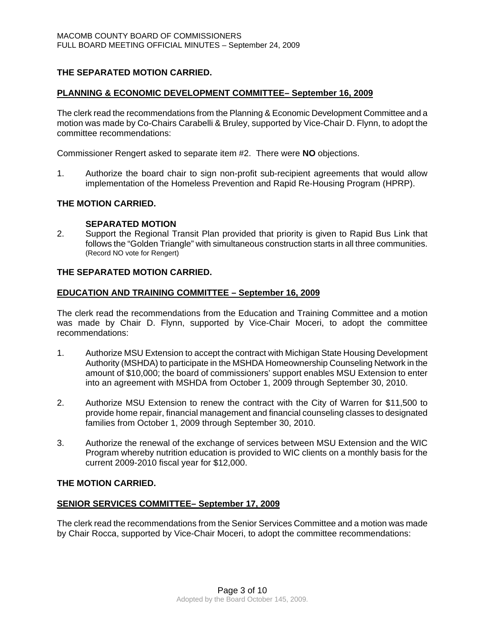## **THE SEPARATED MOTION CARRIED.**

#### **PLANNING & ECONOMIC DEVELOPMENT COMMITTEE– September 16, 2009**

The clerk read the recommendations from the Planning & Economic Development Committee and a motion was made by Co-Chairs Carabelli & Bruley, supported by Vice-Chair D. Flynn, to adopt the committee recommendations:

Commissioner Rengert asked to separate item #2. There were **NO** objections.

1. Authorize the board chair to sign non-profit sub-recipient agreements that would allow implementation of the Homeless Prevention and Rapid Re-Housing Program (HPRP).

#### **THE MOTION CARRIED.**

#### **SEPARATED MOTION**

2. Support the Regional Transit Plan provided that priority is given to Rapid Bus Link that follows the "Golden Triangle" with simultaneous construction starts in all three communities. (Record NO vote for Rengert)

### **THE SEPARATED MOTION CARRIED.**

#### **EDUCATION AND TRAINING COMMITTEE – September 16, 2009**

The clerk read the recommendations from the Education and Training Committee and a motion was made by Chair D. Flynn, supported by Vice-Chair Moceri, to adopt the committee recommendations:

- 1. Authorize MSU Extension to accept the contract with Michigan State Housing Development Authority (MSHDA) to participate in the MSHDA Homeownership Counseling Network in the amount of \$10,000; the board of commissioners' support enables MSU Extension to enter into an agreement with MSHDA from October 1, 2009 through September 30, 2010.
- 2. Authorize MSU Extension to renew the contract with the City of Warren for \$11,500 to provide home repair, financial management and financial counseling classes to designated families from October 1, 2009 through September 30, 2010.
- 3. Authorize the renewal of the exchange of services between MSU Extension and the WIC Program whereby nutrition education is provided to WIC clients on a monthly basis for the current 2009-2010 fiscal year for \$12,000.

### **THE MOTION CARRIED.**

### **SENIOR SERVICES COMMITTEE– September 17, 2009**

The clerk read the recommendations from the Senior Services Committee and a motion was made by Chair Rocca, supported by Vice-Chair Moceri, to adopt the committee recommendations: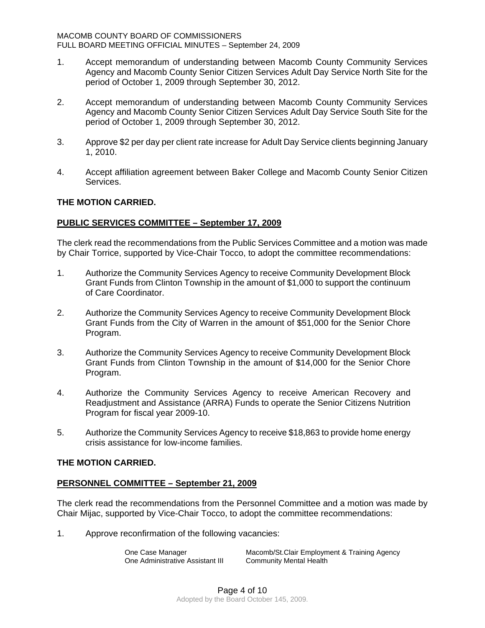- 1. Accept memorandum of understanding between Macomb County Community Services Agency and Macomb County Senior Citizen Services Adult Day Service North Site for the period of October 1, 2009 through September 30, 2012.
- 2. Accept memorandum of understanding between Macomb County Community Services Agency and Macomb County Senior Citizen Services Adult Day Service South Site for the period of October 1, 2009 through September 30, 2012.
- 3. Approve \$2 per day per client rate increase for Adult Day Service clients beginning January 1, 2010.
- 4. Accept affiliation agreement between Baker College and Macomb County Senior Citizen Services.

## **THE MOTION CARRIED.**

### **PUBLIC SERVICES COMMITTEE – September 17, 2009**

The clerk read the recommendations from the Public Services Committee and a motion was made by Chair Torrice, supported by Vice-Chair Tocco, to adopt the committee recommendations:

- 1. Authorize the Community Services Agency to receive Community Development Block Grant Funds from Clinton Township in the amount of \$1,000 to support the continuum of Care Coordinator.
- 2. Authorize the Community Services Agency to receive Community Development Block Grant Funds from the City of Warren in the amount of \$51,000 for the Senior Chore Program.
- 3. Authorize the Community Services Agency to receive Community Development Block Grant Funds from Clinton Township in the amount of \$14,000 for the Senior Chore Program.
- 4. Authorize the Community Services Agency to receive American Recovery and Readjustment and Assistance (ARRA) Funds to operate the Senior Citizens Nutrition Program for fiscal year 2009-10.
- 5. Authorize the Community Services Agency to receive \$18,863 to provide home energy crisis assistance for low-income families.

### **THE MOTION CARRIED.**

### **PERSONNEL COMMITTEE – September 21, 2009**

The clerk read the recommendations from the Personnel Committee and a motion was made by Chair Mijac, supported by Vice-Chair Tocco, to adopt the committee recommendations:

1. Approve reconfirmation of the following vacancies:

One Administrative Assistant III Community Mental Health

One Case Manager Macomb/St.Clair Employment & Training Agency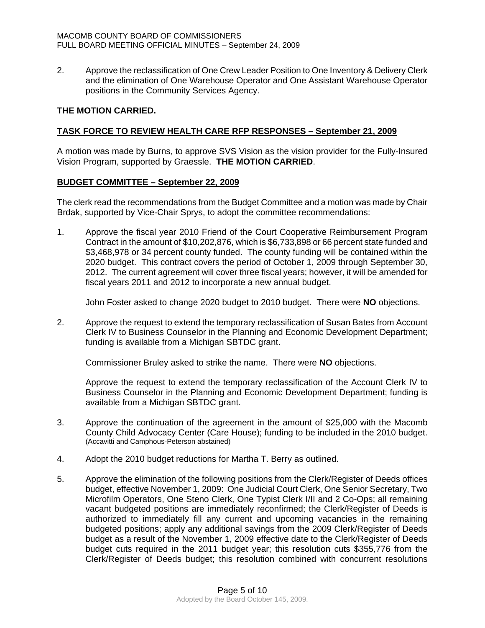2. Approve the reclassification of One Crew Leader Position to One Inventory & Delivery Clerk and the elimination of One Warehouse Operator and One Assistant Warehouse Operator positions in the Community Services Agency.

### **THE MOTION CARRIED.**

## **TASK FORCE TO REVIEW HEALTH CARE RFP RESPONSES – September 21, 2009**

A motion was made by Burns, to approve SVS Vision as the vision provider for the Fully-Insured Vision Program, supported by Graessle. **THE MOTION CARRIED**.

### **BUDGET COMMITTEE – September 22, 2009**

The clerk read the recommendations from the Budget Committee and a motion was made by Chair Brdak, supported by Vice-Chair Sprys, to adopt the committee recommendations:

1. Approve the fiscal year 2010 Friend of the Court Cooperative Reimbursement Program Contract in the amount of \$10,202,876, which is \$6,733,898 or 66 percent state funded and \$3,468,978 or 34 percent county funded. The county funding will be contained within the 2020 budget. This contract covers the period of October 1, 2009 through September 30, 2012. The current agreement will cover three fiscal years; however, it will be amended for fiscal years 2011 and 2012 to incorporate a new annual budget.

John Foster asked to change 2020 budget to 2010 budget. There were **NO** objections.

2. Approve the request to extend the temporary reclassification of Susan Bates from Account Clerk IV to Business Counselor in the Planning and Economic Development Department; funding is available from a Michigan SBTDC grant.

Commissioner Bruley asked to strike the name. There were **NO** objections.

Approve the request to extend the temporary reclassification of the Account Clerk IV to Business Counselor in the Planning and Economic Development Department; funding is available from a Michigan SBTDC grant.

- 3. Approve the continuation of the agreement in the amount of \$25,000 with the Macomb County Child Advocacy Center (Care House); funding to be included in the 2010 budget. (Accavitti and Camphous-Peterson abstained)
- 4. Adopt the 2010 budget reductions for Martha T. Berry as outlined.
- 5. Approve the elimination of the following positions from the Clerk/Register of Deeds offices budget, effective November 1, 2009: One Judicial Court Clerk, One Senior Secretary, Two Microfilm Operators, One Steno Clerk, One Typist Clerk I/II and 2 Co-Ops; all remaining vacant budgeted positions are immediately reconfirmed; the Clerk/Register of Deeds is authorized to immediately fill any current and upcoming vacancies in the remaining budgeted positions; apply any additional savings from the 2009 Clerk/Register of Deeds budget as a result of the November 1, 2009 effective date to the Clerk/Register of Deeds budget cuts required in the 2011 budget year; this resolution cuts \$355,776 from the Clerk/Register of Deeds budget; this resolution combined with concurrent resolutions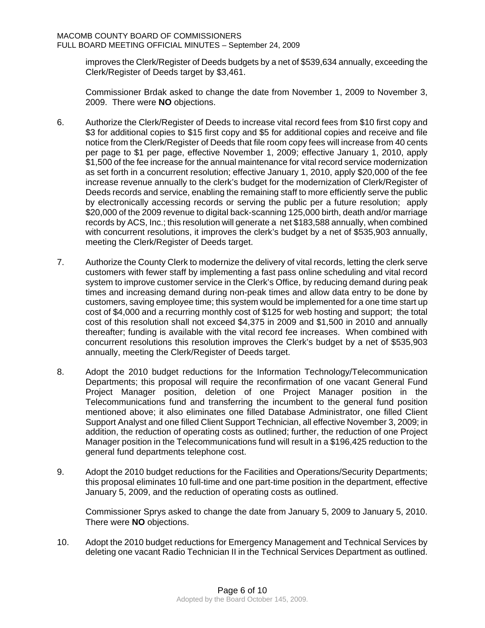improves the Clerk/Register of Deeds budgets by a net of \$539,634 annually, exceeding the Clerk/Register of Deeds target by \$3,461.

Commissioner Brdak asked to change the date from November 1, 2009 to November 3, 2009. There were **NO** objections.

- 6. Authorize the Clerk/Register of Deeds to increase vital record fees from \$10 first copy and \$3 for additional copies to \$15 first copy and \$5 for additional copies and receive and file notice from the Clerk/Register of Deeds that file room copy fees will increase from 40 cents per page to \$1 per page, effective November 1, 2009; effective January 1, 2010, apply \$1,500 of the fee increase for the annual maintenance for vital record service modernization as set forth in a concurrent resolution; effective January 1, 2010, apply \$20,000 of the fee increase revenue annually to the clerk's budget for the modernization of Clerk/Register of Deeds records and service, enabling the remaining staff to more efficiently serve the public by electronically accessing records or serving the public per a future resolution; apply \$20,000 of the 2009 revenue to digital back-scanning 125,000 birth, death and/or marriage records by ACS, Inc.; this resolution will generate a net \$183,588 annually, when combined with concurrent resolutions, it improves the clerk's budget by a net of \$535,903 annually, meeting the Clerk/Register of Deeds target.
- 7. Authorize the County Clerk to modernize the delivery of vital records, letting the clerk serve customers with fewer staff by implementing a fast pass online scheduling and vital record system to improve customer service in the Clerk's Office, by reducing demand during peak times and increasing demand during non-peak times and allow data entry to be done by customers, saving employee time; this system would be implemented for a one time start up cost of \$4,000 and a recurring monthly cost of \$125 for web hosting and support; the total cost of this resolution shall not exceed \$4,375 in 2009 and \$1,500 in 2010 and annually thereafter; funding is available with the vital record fee increases. When combined with concurrent resolutions this resolution improves the Clerk's budget by a net of \$535,903 annually, meeting the Clerk/Register of Deeds target.
- 8. Adopt the 2010 budget reductions for the Information Technology/Telecommunication Departments; this proposal will require the reconfirmation of one vacant General Fund Project Manager position, deletion of one Project Manager position in the Telecommunications fund and transferring the incumbent to the general fund position mentioned above; it also eliminates one filled Database Administrator, one filled Client Support Analyst and one filled Client Support Technician, all effective November 3, 2009; in addition, the reduction of operating costs as outlined; further, the reduction of one Project Manager position in the Telecommunications fund will result in a \$196,425 reduction to the general fund departments telephone cost.
- 9. Adopt the 2010 budget reductions for the Facilities and Operations/Security Departments; this proposal eliminates 10 full-time and one part-time position in the department, effective January 5, 2009, and the reduction of operating costs as outlined.

Commissioner Sprys asked to change the date from January 5, 2009 to January 5, 2010. There were **NO** objections.

10. Adopt the 2010 budget reductions for Emergency Management and Technical Services by deleting one vacant Radio Technician II in the Technical Services Department as outlined.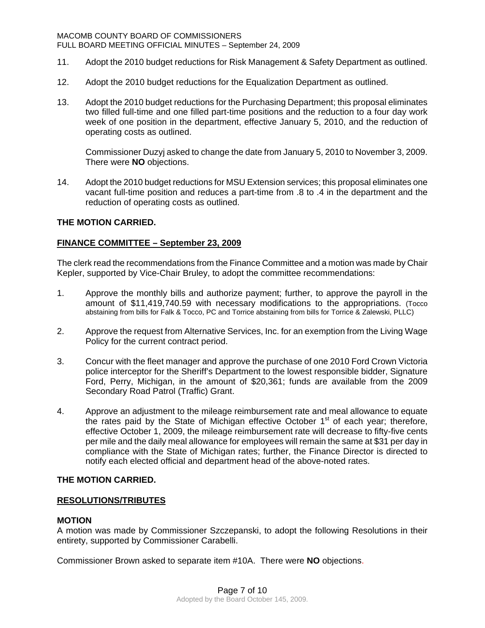#### MACOMB COUNTY BOARD OF COMMISSIONERS FULL BOARD MEETING OFFICIAL MINUTES – September 24, 2009

- 11. Adopt the 2010 budget reductions for Risk Management & Safety Department as outlined.
- 12. Adopt the 2010 budget reductions for the Equalization Department as outlined.
- 13. Adopt the 2010 budget reductions for the Purchasing Department; this proposal eliminates two filled full-time and one filled part-time positions and the reduction to a four day work week of one position in the department, effective January 5, 2010, and the reduction of operating costs as outlined.

Commissioner Duzyj asked to change the date from January 5, 2010 to November 3, 2009. There were **NO** objections.

14. Adopt the 2010 budget reductions for MSU Extension services; this proposal eliminates one vacant full-time position and reduces a part-time from .8 to .4 in the department and the reduction of operating costs as outlined.

### **THE MOTION CARRIED.**

## **FINANCE COMMITTEE – September 23, 2009**

The clerk read the recommendations from the Finance Committee and a motion was made by Chair Kepler, supported by Vice-Chair Bruley, to adopt the committee recommendations:

- 1. Approve the monthly bills and authorize payment; further, to approve the payroll in the amount of \$11,419,740.59 with necessary modifications to the appropriations. (Tocco abstaining from bills for Falk & Tocco, PC and Torrice abstaining from bills for Torrice & Zalewski, PLLC)
- 2. Approve the request from Alternative Services, Inc. for an exemption from the Living Wage Policy for the current contract period.
- 3. Concur with the fleet manager and approve the purchase of one 2010 Ford Crown Victoria police interceptor for the Sheriff's Department to the lowest responsible bidder, Signature Ford, Perry, Michigan, in the amount of \$20,361; funds are available from the 2009 Secondary Road Patrol (Traffic) Grant.
- 4. Approve an adjustment to the mileage reimbursement rate and meal allowance to equate the rates paid by the State of Michigan effective October  $1<sup>st</sup>$  of each year; therefore, effective October 1, 2009, the mileage reimbursement rate will decrease to fifty-five cents per mile and the daily meal allowance for employees will remain the same at \$31 per day in compliance with the State of Michigan rates; further, the Finance Director is directed to notify each elected official and department head of the above-noted rates.

### **THE MOTION CARRIED.**

### **RESOLUTIONS/TRIBUTES**

### **MOTION**

A motion was made by Commissioner Szczepanski, to adopt the following Resolutions in their entirety, supported by Commissioner Carabelli.

Commissioner Brown asked to separate item #10A. There were **NO** objections.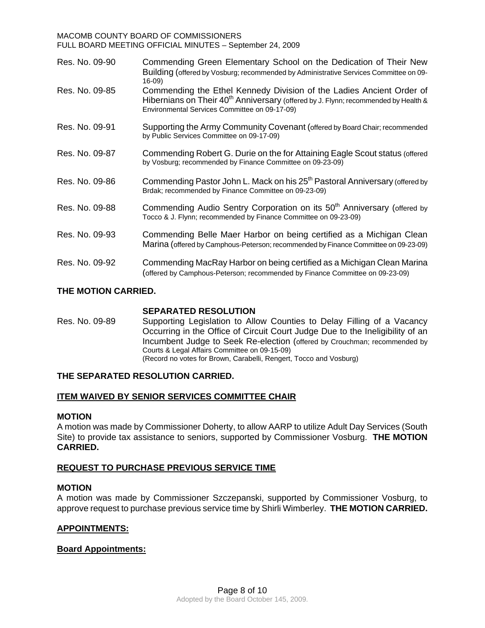#### MACOMB COUNTY BOARD OF COMMISSIONERS FULL BOARD MEETING OFFICIAL MINUTES – September 24, 2009

| Res. No. 09-90 | Commending Green Elementary School on the Dedication of Their New<br>Building (offered by Vosburg; recommended by Administrative Services Committee on 09-<br>$16-09$                                                   |
|----------------|-------------------------------------------------------------------------------------------------------------------------------------------------------------------------------------------------------------------------|
| Res. No. 09-85 | Commending the Ethel Kennedy Division of the Ladies Ancient Order of<br>Hibernians on Their 40 <sup>th</sup> Anniversary (offered by J. Flynn; recommended by Health &<br>Environmental Services Committee on 09-17-09) |
| Res. No. 09-91 | Supporting the Army Community Covenant (offered by Board Chair; recommended<br>by Public Services Committee on 09-17-09)                                                                                                |
| Res. No. 09-87 | Commending Robert G. Durie on the for Attaining Eagle Scout status (offered<br>by Vosburg; recommended by Finance Committee on 09-23-09)                                                                                |
| Res. No. 09-86 | Commending Pastor John L. Mack on his 25 <sup>th</sup> Pastoral Anniversary (offered by<br>Brdak; recommended by Finance Committee on 09-23-09)                                                                         |
| Res. No. 09-88 | Commending Audio Sentry Corporation on its 50 <sup>th</sup> Anniversary (offered by<br>Tocco & J. Flynn; recommended by Finance Committee on 09-23-09)                                                                  |
| Res. No. 09-93 | Commending Belle Maer Harbor on being certified as a Michigan Clean<br>Marina (offered by Camphous-Peterson; recommended by Finance Committee on 09-23-09)                                                              |
| Res. No. 09-92 | Commending MacRay Harbor on being certified as a Michigan Clean Marina<br>(offered by Camphous-Peterson; recommended by Finance Committee on 09-23-09)                                                                  |

## **THE MOTION CARRIED.**

## **SEPARATED RESOLUTION**

Res. No. 09-89 Supporting Legislation to Allow Counties to Delay Filling of a Vacancy Occurring in the Office of Circuit Court Judge Due to the Ineligibility of an Incumbent Judge to Seek Re-election (offered by Crouchman; recommended by Courts & Legal Affairs Committee on 09-15-09) (Record no votes for Brown, Carabelli, Rengert, Tocco and Vosburg)

## **THE SEPARATED RESOLUTION CARRIED.**

## **ITEM WAIVED BY SENIOR SERVICES COMMITTEE CHAIR**

### **MOTION**

A motion was made by Commissioner Doherty, to allow AARP to utilize Adult Day Services (South Site) to provide tax assistance to seniors, supported by Commissioner Vosburg. **THE MOTION CARRIED.** 

## **REQUEST TO PURCHASE PREVIOUS SERVICE TIME**

### **MOTION**

A motion was made by Commissioner Szczepanski, supported by Commissioner Vosburg, to approve request to purchase previous service time by Shirli Wimberley. **THE MOTION CARRIED.** 

### **APPOINTMENTS:**

### **Board Appointments:**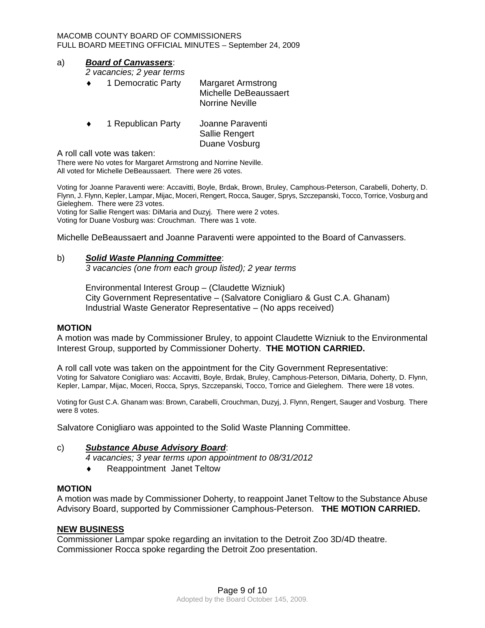#### a)*Board of Canvassers*:

*2 vacancies; 2 year terms* 

- ♦ 1 Democratic Party Margaret Armstrong Michelle DeBeaussaert Norrine Neville
- ♦ 1 Republican Party Joanne Paraventi Sallie Rengert Duane Vosburg

A roll call vote was taken:

There were No votes for Margaret Armstrong and Norrine Neville. All voted for Michelle DeBeaussaert. There were 26 votes.

Voting for Joanne Paraventi were: Accavitti, Boyle, Brdak, Brown, Bruley, Camphous-Peterson, Carabelli, Doherty, D. Flynn, J. Flynn, Kepler, Lampar, Mijac, Moceri, Rengert, Rocca, Sauger, Sprys, Szczepanski, Tocco, Torrice, Vosburg and Gieleghem. There were 23 votes.

Voting for Sallie Rengert was: DiMaria and Duzyj. There were 2 votes. Voting for Duane Vosburg was: Crouchman. There was 1 vote.

Michelle DeBeaussaert and Joanne Paraventi were appointed to the Board of Canvassers.

#### b)*Solid Waste Planning Committee*:

*3 vacancies (one from each group listed); 2 year terms* 

Environmental Interest Group – (Claudette Wizniuk) City Government Representative – (Salvatore Conigliaro & Gust C.A. Ghanam) Industrial Waste Generator Representative – (No apps received)

#### **MOTION**

A motion was made by Commissioner Bruley, to appoint Claudette Wizniuk to the Environmental Interest Group, supported by Commissioner Doherty. **THE MOTION CARRIED.**

A roll call vote was taken on the appointment for the City Government Representative: Voting for Salvatore Conigliaro was: Accavitti, Boyle, Brdak, Bruley, Camphous-Peterson, DiMaria, Doherty, D. Flynn, Kepler, Lampar, Mijac, Moceri, Rocca, Sprys, Szczepanski, Tocco, Torrice and Gieleghem. There were 18 votes.

Voting for Gust C.A. Ghanam was: Brown, Carabelli, Crouchman, Duzyj, J. Flynn, Rengert, Sauger and Vosburg. There were 8 votes.

Salvatore Conigliaro was appointed to the Solid Waste Planning Committee.

### c)*Substance Abuse Advisory Board*:

- *4 vacancies; 3 year terms upon appointment to 08/31/2012*
- ♦ Reappointment Janet Teltow

#### **MOTION**

A motion was made by Commissioner Doherty, to reappoint Janet Teltow to the Substance Abuse Advisory Board, supported by Commissioner Camphous-Peterson. **THE MOTION CARRIED.** 

#### **NEW BUSINESS**

Commissioner Lampar spoke regarding an invitation to the Detroit Zoo 3D/4D theatre. Commissioner Rocca spoke regarding the Detroit Zoo presentation.